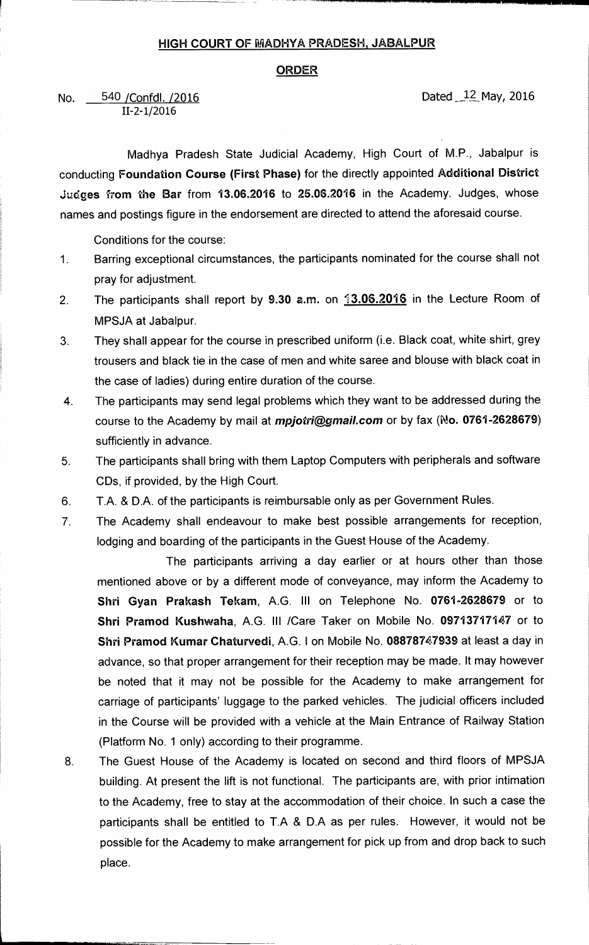## **HIGH COURT OF MADHYA PRADESH, JABALPUR**

## **ORDER**

No. 540 / Confdl. /2016 **Dated May, 2016 Dated May, 2016 11-2-1/2016**  540 / Confdl. / 2016

**Madhya Pradesh State Judicial Academy, High Court of M.P., Jabalpur is conducting Foundation Course (First Phase) for the directly appointed Additional District Judges from the Bar from 13.06.2016 to 25.06.2016 in the Academy. Judges, whose names and postings figure in the endorsement are directed to attend the aforesaid course.** 

**Conditions for the course:** 

- **1. Barring exceptional circumstances, the participants nominated for the course shall not pray for adjustment.**
- **2 The participants shall report by 9.30 a.m. on 13.06.2016 in the Lecture Room of MPSJA at Jabalpur.**
- **3. They shall appear for the course in prescribed uniform (i.e. Black coat, white shirt, grey trousers and black tie in the case of men and white saree and blouse with black coat in the case of ladies) during entire duration of the course.**
- **4. The participants may send legal problems which they want to be addressed during the course to the Academy by mail at** *mpjotrigginail.com* **or by fax (No. 0761-2628679) sufficiently in advance.**
- **5. The participants shall bring with them Laptop Computers with peripherals and software CDs, if provided, by the High Court.**
- **6. T.A. & D.A. of the participants is reimbursable only as per Government Rules.**
- **7 The Academy shall endeavour to make best possible arrangements for reception, lodging and boarding of the participants in the Guest House of the Academy.**

**The participants arriving a day earlier or at hours other than those mentioned above or by a different mode of conveyance, may inform the Academy to Shri Gyan Prakash Tekam, A.G. III on Telephone No. 0761-2628679 or to Shri Pramod Kushwaha, A.G. III /Care Taker on Mobile No. 09713717147 or to Shri Pramod Kumar Chaturvedi, A.G. I on Mobile No. 08878747939 at least a day in advance, so that proper arrangement for their reception may be made. It may however be noted that it may not be possible for the Academy to make arrangement for carriage of participants' luggage to the parked vehicles. The judicial officers included in the Course will be provided with a vehicle at the Main Entrance of Railway Station (Platform No. 1 only) according to their programme.** 

**8. The Guest House of the Academy is located on second and third floors of MPSJA building. At present the lift is not functional. The participants are, with prior intimation to the Academy, free to stay at the accommodation of their choice. In such a case the participants shall be entitled to T.A & D.A as per rules. However, it would not be possible for the Academy to make arrangement for pick up from and drop back to such place.**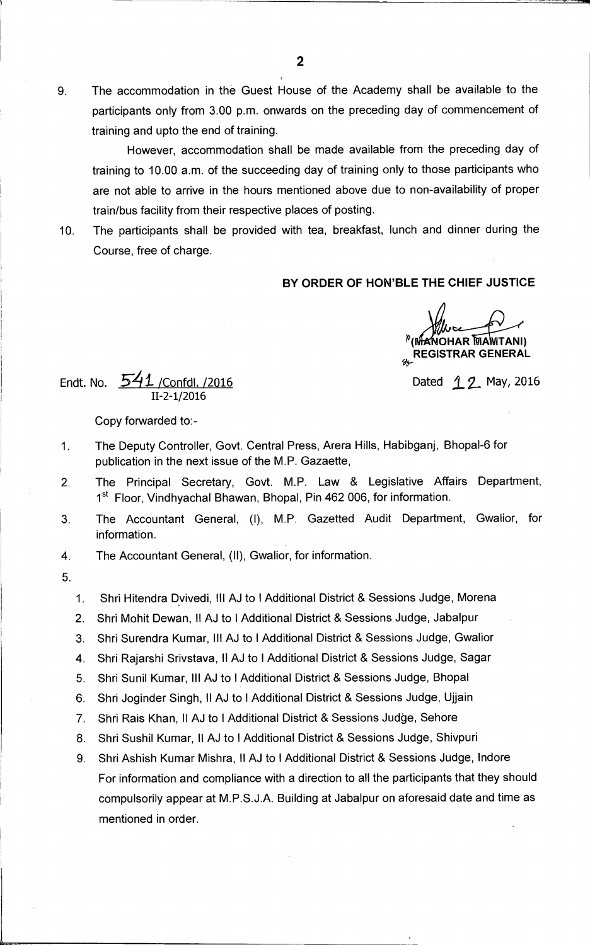9. The accommodation in the Guest House of the Academy shall be available to the participants only from 3.00 p.m. onwards on the preceding day of commencement of training and upto the end of training.

However, accommodation shall be made available from the preceding day of training to 10.00 a.m. of the succeeding day of training only to those participants who are not able to arrive in the hours mentioned above due to non-availability of proper train/bus facility from their respective places of posting.

10. The participants shall be provided with tea, breakfast, lunch and dinner during the Course, free of charge.

## **BY ORDER OF HON'BLE THE CHIEF JUSTICE**

**MANOHAR MAMTANI) REGISTRAR GENERAL** 

Endt. No.  $541$  /Confdl. /2016  $2016$ 11-2-1/2016

Copy forwarded to:-

- 1. The Deputy Controller, Govt. Central Press, Arera Hills, Habibganj, Bhopal-6 for publication in the next issue of the M.P. Gazaette,
- 2. The Principal Secretary, Govt. M.P. Law & Legislative Affairs Department, 1<sup>st</sup> Floor, Vindhyachal Bhawan, Bhopal, Pin 462 006, for information.
- 3. The Accountant General, (I), M.P. Gazetted Audit Department, Gwalior, for information.

4. The Accountant General, (II), Gwalior, for information.

5.

1. Shri Hitendra Dvivedi, Ill AJ to I Additional District & Sessions Judge, Morena

- 2. Shri Mohit Dewan, II AJ to I Additional District & Sessions Judge, Jabalpur
- 3. Shri Surendra Kumar, III AJ to I Additional District & Sessions Judge, Gwalior
- 4. Shri Rajarshi Srivstava, II AJ to I Additional District & Sessions Judge, Sagar
- 5. Shri Sunil Kumar, Ill AJ to I Additional District & Sessions Judge, Bhopal
- 6. Shri Joginder Singh, II AJ to I Additional District & Sessions Judge, Ujjain
- 7. Shri Rais Khan, II AJ to I Additional District & Sessions Judge, Sehore
- 8. Shri Sushil Kumar, II AJ to I Additional District & Sessions Judge, Shivpuri
- 9. Shri Ashish Kumar Mishra, II AJ to I Additional District & Sessions Judge, Indore For information and compliance with a direction to all the participants that they should compulsorily appear at M.P.S.J.A. Building at Jabalpur on aforesaid date and time as mentioned in order.